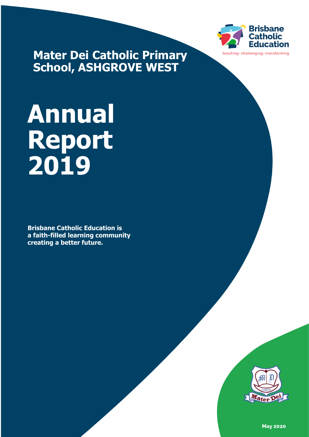

**Mater Dei Catholic Primary School, ASHGROVE WEST**

# **Annual Report 2019**

**Brisbane Catholic Education is a faith-filled learning community creating a better future.**



**May 2020**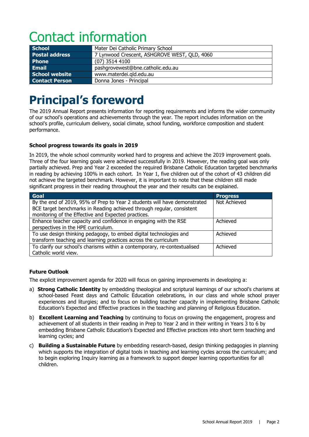# Contact information

| <b>School</b>         | Mater Dei Catholic Primary School            |  |
|-----------------------|----------------------------------------------|--|
| <b>Postal address</b> | 7 Lynwood Crescent, ASHGROVE WEST, QLD, 4060 |  |
| <b>Phone</b>          | $(07)$ 3514 4100                             |  |
| Email                 | pashgrovewest@bne.catholic.edu.au            |  |
| <b>School website</b> | www.materdei.gld.edu.au                      |  |
| <b>Contact Person</b> | Donna Jones - Principal                      |  |

# **Principal's foreword**

The 2019 Annual Report presents information for reporting requirements and informs the wider community of our school's operations and achievements through the year. The report includes information on the school's profile, curriculum delivery, social climate, school funding, workforce composition and student performance.

#### **School progress towards its goals in 2019**

In 2019, the whole school community worked hard to progress and achieve the 2019 improvement goals. Three of the four learning goals were achieved successfully in 2019. However, the reading goal was only partially achieved. Prep and Year 2 exceeded the required Brisbane Catholic Education targeted benchmarks in reading by achieving 100% in each cohort. In Year 1, five children out of the cohort of 43 children did not achieve the targeted benchmark. However, it is important to note that these children still made significant progress in their reading throughout the year and their results can be explained.

| Goal                                                                      | <b>Progress</b> |
|---------------------------------------------------------------------------|-----------------|
| By the end of 2019, 95% of Prep to Year 2 students will have demonstrated | Not Achieved    |
| BCE target benchmarks in Reading achieved through regular, consistent     |                 |
| monitoring of the Effective and Expected practices.                       |                 |
| Enhance teacher capacity and confidence in engaging with the RSE          | Achieved        |
| perspectives in the HPE curriculum.                                       |                 |
| To use design thinking pedagogy, to embed digital technologies and        | Achieved        |
| transform teaching and learning practices across the curriculum           |                 |
| To clarify our school's charisms within a contemporary, re-contextualised | Achieved        |
| Catholic world view.                                                      |                 |

#### **Future Outlook**

The explicit improvement agenda for 2020 will focus on gaining improvements in developing a:

- a) **Strong Catholic Identity** by embedding theological and scriptural learnings of our school's charisms at school-based Feast days and Catholic Education celebrations, in our class and whole school prayer experiences and liturgies; and to focus on building teacher capacity in implementing Brisbane Catholic Education's Expected and Effective practices in the teaching and planning of Religious Education.
- b) **Excellent Learning and Teaching** by continuing to focus on growing the engagement, progress and achievement of all students in their reading in Prep to Year 2 and in their writing in Years 3 to 6 by embedding Brisbane Catholic Education's Expected and Effective practices into short term teaching and learning cycles; and
- c) **Building a Sustainable Future** by embedding research-based, design thinking pedagogies in planning which supports the integration of digital tools in teaching and learning cycles across the curriculum; and to begin exploring Inquiry learning as a framework to support deeper learning opportunities for all children.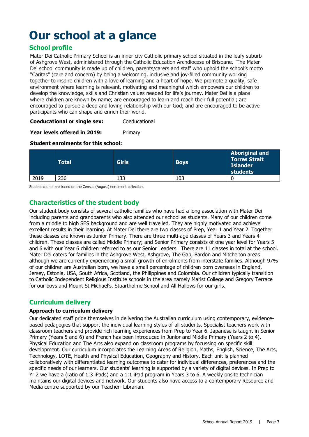# **Our school at a glance**

#### **School profile**

Mater Dei Catholic Primary School is an inner city Catholic primary school situated in the leafy suburb of Ashgrove West, administered through the Catholic Education Archdiocese of Brisbane. The Mater Dei school community is made up of children, parents/carers and staff who uphold the school's motto "Caritas" (care and concern) by being a welcoming, inclusive and joy-filled community working together to inspire children with a love of learning and a heart of hope. We promote a quality, safe environment where learning is relevant, motivating and meaningful which empowers our children to develop the knowledge, skills and Christian values needed for life's journey. Mater Dei is a place where children are known by name; are encouraged to learn and reach their full potential; are encouraged to pursue a deep and loving relationship with our God; and are encouraged to be active participants who can shape and enrich their world.

#### **Coeducational or single sex:** Coeducational

#### **Year levels offered in 2019:** Primary

#### **Student enrolments for this school:**

|      | <b>Total</b> | <b>Girls</b> | <b>Boys</b> | <b>Aboriginal and</b><br><b>Torres Strait</b><br><b>Islander</b><br>students |
|------|--------------|--------------|-------------|------------------------------------------------------------------------------|
| 2019 | 236          | 133          | 103         |                                                                              |

Student counts are based on the Census (August) enrolment collection.

#### **Characteristics of the student body**

Our student body consists of several catholic families who have had a long association with Mater Dei including parents and grandparents who also attended our school as students. Many of our children come from a middle to high SES background and are well travelled. They are highly motivated and achieve excellent results in their learning. At Mater Dei there are two classes of Prep, Year 1 and Year 2. Together these classes are known as Junior Primary. There are three multi-age classes of Years 3 and Years 4 children. These classes are called Middle Primary; and Senior Primary consists of one year level for Years 5 and 6 with our Year 6 children referred to as our Senior Leaders. There are 11 classes in total at the school. Mater Dei caters for families in the Ashgrove West, Ashgrove, The Gap, Bardon and Mitchelton areas although we are currently experiencing a small growth of enrolments from interstate families. Although 97% of our children are Australian born, we have a small percentage of children born overseas in England, Jersey, Estonia, USA, South Africa, Scotland, the Philippines and Colombia. Our children typically transition to Catholic Independent Religious Institute schools in the area namely Marist College and Gregory Terrace for our boys and Mount St Michael's, Stuartholme School and All Hallows for our girls.

#### **Curriculum delivery**

#### **Approach to curriculum delivery**

Our dedicated staff pride themselves in delivering the Australian curriculum using contemporary, evidencebased pedagogies that support the individual learning styles of all students. Specialist teachers work with classroom teachers and provide rich learning experiences from Prep to Year 6. Japanese is taught in Senior Primary (Years 5 and 6) and French has been introduced in Junior and Middle Primary (Years 2 to 4). Physical Education and The Arts also expand on classroom programs by focussing on specific skill development. Our curriculum incorporates the Learning Areas of Religion, Maths, English, Science, The Arts, Technology, LOTE, Health and Physical Education, Geography and History. Each unit is planned collaboratively with differentiated learning outcomes to cater for individual differences, preferences and the specific needs of our learners. Our students' learning is supported by a variety of digital devices. In Prep to Yr 2 we have a (ratio of 1:3 iPads) and a 1:1 iPad program in Years 3 to 6. A weekly onsite technician maintains our digital devices and network. Our students also have access to a contemporary Resource and Media centre supported by our Teacher- Librarian.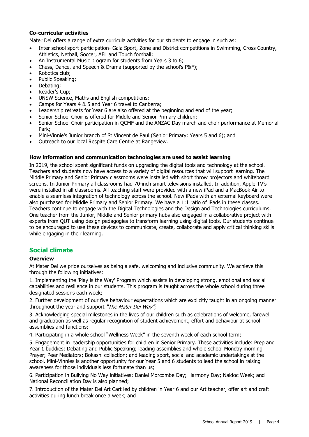#### **Co-curricular activities**

Mater Dei offers a range of extra curricula activities for our students to engage in such as:

- Inter school sport participation- Gala Sport, Zone and District competitions in Swimming, Cross Country, Athletics, Netball, Soccer, AFL and Touch football;
- An Instrumental Music program for students from Years 3 to 6;
- Chess, Dance, and Speech & Drama (supported by the school's P&F);
- Robotics club;
- Public Speaking;
- Debating;
- Reader's Cup;
- UNSW Science, Maths and English competitions;
- Camps for Years 4 & 5 and Year 6 travel to Canberra;
- Leadership retreats for Year 6 are also offered at the beginning and end of the year;
- Senior School Choir is offered for Middle and Senior Primary children;
- Senior School Choir participation in QCMF and the ANZAC Day march and choir performance at Memorial Park;
- Mini-Vinnie's Junior branch of St Vincent de Paul (Senior Primary: Years 5 and 6); and
- Outreach to our local Respite Care Centre at Rangeview.

#### **How information and communication technologies are used to assist learning**

In 2019, the school spent significant funds on upgrading the digital tools and technology at the school. Teachers and students now have access to a variety of digital resources that will support learning. The Middle Primary and Senior Primary classrooms were installed with short throw projectors and whiteboard screens. In Junior Primary all classrooms had 70-inch smart televisions installed. In addition, Apple TV's were installed in all classrooms. All teaching staff were provided with a new iPad and a MacBook Air to enable a seamless integration of technology across the school. New iPads with an external keyboard were also purchased for Middle Primary and Senior Primary. We have a 1:1 ratio of iPads in these classes. Teachers continue to engage with the Digital Technologies and the Design and Technologies curriculums. One teacher from the Junior, Middle and Senior primary hubs also engaged in a collaborative project with experts from QUT using design pedagogies to transform learning using digital tools. Our students continue to be encouraged to use these devices to communicate, create, collaborate and apply critical thinking skills while engaging in their learning.

#### **Social climate**

#### **Overview**

At Mater Dei we pride ourselves as being a safe, welcoming and inclusive community. We achieve this through the following initiatives:

1. Implementing the 'Play is the Way' Program which assists in developing strong, emotional and social capabilities and resilience in our students. This program is taught across the whole school during three designated sessions each week;

2. Further development of our five behaviour expectations which are explicitly taught in an ongoing manner throughout the year and support "The Mater Dei Way";

3. Acknowledging special milestones in the lives of our children such as celebrations of welcome, farewell and graduation as well as regular recognition of student achievement, effort and behaviour at school assemblies and functions;

4. Participating in a whole school "Wellness Week" in the seventh week of each school term;

5. Engagement in leadership opportunities for children in Senior Primary. These activities include: Prep and Year 1 buddies; Debating and Public Speaking; leading assemblies and whole school Monday morning Prayer; Peer Mediators; Bokashi collection; and leading sport, social and academic undertakings at the school. Mini-Vinnies is another opportunity for our Year 5 and 6 students to lead the school in raising awareness for those individuals less fortunate than us;

6. Participation in Bullying No Way initiatives; Daniel Morcombe Day; Harmony Day; Naidoc Week; and National Reconciliation Day is also planned;

7. Introduction of the Mater Dei Art Cart led by children in Year 6 and our Art teacher, offer art and craft activities during lunch break once a week; and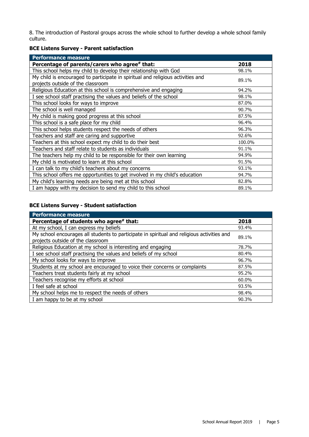8. The introduction of Pastoral groups across the whole school to further develop a whole school family culture.

#### **BCE Listens Survey - Parent satisfaction**

| <b>Performance measure</b>                                                      |        |
|---------------------------------------------------------------------------------|--------|
| Percentage of parents/carers who agree# that:                                   | 2018   |
| This school helps my child to develop their relationship with God               | 98.1%  |
| My child is encouraged to participate in spiritual and religious activities and | 89.1%  |
| projects outside of the classroom                                               |        |
| Religious Education at this school is comprehensive and engaging                | 94.2%  |
| I see school staff practising the values and beliefs of the school              | 98.1%  |
| This school looks for ways to improve                                           | 87.0%  |
| The school is well managed                                                      | 90.7%  |
| My child is making good progress at this school                                 | 87.5%  |
| This school is a safe place for my child                                        | 96.4%  |
| This school helps students respect the needs of others                          | 96.3%  |
| Teachers and staff are caring and supportive                                    | 92.6%  |
| Teachers at this school expect my child to do their best                        | 100.0% |
| Teachers and staff relate to students as individuals                            | 91.1%  |
| The teachers help my child to be responsible for their own learning             | 94.9%  |
| My child is motivated to learn at this school                                   | 91.5%  |
| I can talk to my child's teachers about my concerns                             | 93.1%  |
| This school offers me opportunities to get involved in my child's education     | 94.7%  |
| My child's learning needs are being met at this school                          | 82.8%  |
| I am happy with my decision to send my child to this school                     | 89.1%  |

#### **BCE Listens Survey - Student satisfaction**

| <b>Performance measure</b>                                                                                                      |       |
|---------------------------------------------------------------------------------------------------------------------------------|-------|
| Percentage of students who agree# that:                                                                                         | 2018  |
| At my school, I can express my beliefs                                                                                          | 93.4% |
| My school encourages all students to participate in spiritual and religious activities and<br>projects outside of the classroom | 89.1% |
| Religious Education at my school is interesting and engaging                                                                    | 78.7% |
| I see school staff practising the values and beliefs of my school                                                               | 80.4% |
| My school looks for ways to improve                                                                                             | 96.7% |
| Students at my school are encouraged to voice their concerns or complaints                                                      | 87.5% |
| Teachers treat students fairly at my school                                                                                     | 95.2% |
| Teachers recognise my efforts at school                                                                                         | 60.0% |
| I feel safe at school                                                                                                           | 93.5% |
| My school helps me to respect the needs of others                                                                               | 98.4% |
| I am happy to be at my school                                                                                                   | 90.3% |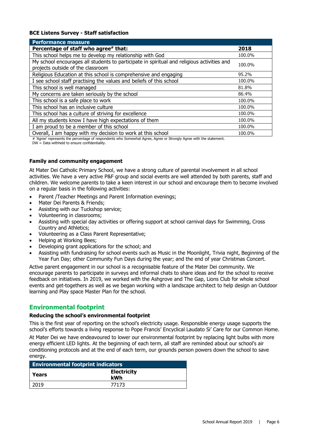#### **BCE Listens Survey - Staff satisfaction**

| <b>Performance measure</b>                                                                                                      |        |
|---------------------------------------------------------------------------------------------------------------------------------|--------|
| Percentage of staff who agree# that:                                                                                            | 2018   |
| This school helps me to develop my relationship with God                                                                        | 100.0% |
| My school encourages all students to participate in spiritual and religious activities and<br>projects outside of the classroom | 100.0% |
| Religious Education at this school is comprehensive and engaging                                                                | 95.2%  |
| I see school staff practising the values and beliefs of this school                                                             | 100.0% |
| This school is well managed                                                                                                     | 81.8%  |
| My concerns are taken seriously by the school                                                                                   | 86.4%  |
| This school is a safe place to work                                                                                             | 100.0% |
| This school has an inclusive culture                                                                                            | 100.0% |
| This school has a culture of striving for excellence                                                                            | 100.0% |
| All my students know I have high expectations of them                                                                           | 100.0% |
| I am proud to be a member of this school                                                                                        | 100.0% |
| Overall, I am happy with my decision to work at this school                                                                     | 100.0% |

# 'Agree' represents the percentage of respondents who Somewhat Agree, Agree or Strongly Agree with the statement. DW = Data withheld to ensure confidentiality.

#### **Family and community engagement**

At Mater Dei Catholic Primary School, we have a strong culture of parental involvement in all school activities. We have a very active P&F group and social events are well attended by both parents, staff and children. We welcome parents to take a keen interest in our school and encourage them to become involved on a regular basis in the following activities:

- Parent /Teacher Meetings and Parent Information evenings;
- Mater Dei Parents & Friends;
- Assisting with our Tuckshop service;
- Volunteering in classrooms;
- Assisting with special day activities or offering support at school carnival days for Swimming, Cross Country and Athletics;
- Volunteering as a Class Parent Representative;
- Helping at Working Bees;
- Developing grant applications for the school; and
- Assisting with fundraising for school events such as Music in the Moonlight, Trivia night, Beginning of the Year Fun Day; other Community Fun Days during the year; and the end of year Christmas Concert.

Active parent engagement in our school is a recognisable feature of the Mater Dei community. We encourage parents to participate in surveys and informal chats to share ideas and for the school to receive feedback on initiatives. In 2019, we worked with the Ashgrove and The Gap, Lions Club for whole school events and get-togethers as well as we began working with a landscape architect to help design an Outdoor learning and Play space Master Plan for the school.

#### **Environmental footprint**

#### **Reducing the school's environmental footprint**

This is the first year of reporting on the school's electricity usage. Responsible energy usage supports the school's efforts towards a living response to Pope Francis' Encyclical Laudato Si' Care for our Common Home.

At Mater Dei we have endeavoured to lower our environmental footprint by replacing light bulbs with more energy efficient LED lights. At the beginning of each term, all staff are reminded about our school's air conditioning protocols and at the end of each term, our grounds person powers down the school to save energy.

| <b>Environmental footprint indicators</b> |                           |  |
|-------------------------------------------|---------------------------|--|
| l Years                                   | <b>Electricity</b><br>kWh |  |
| 2019                                      | 77173                     |  |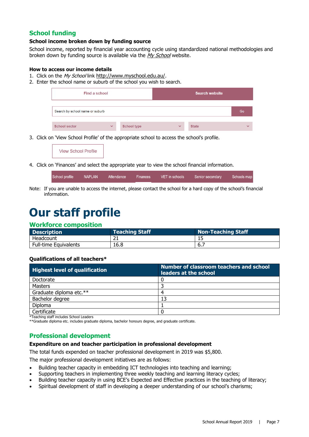#### **School funding**

#### **School income broken down by funding source**

School income, reported by financial year accounting cycle using standardized national methodologies and broken down by funding source is available via the [My School](http://www.myschool.edu.au/) website.

#### **How to access our income details**

- 1. Click on the My School link [http://www.myschool.edu.au/.](http://www.myschool.edu.au/)
- 2. Enter the school name or suburb of the school you wish to search.

| Find a school                   |              |                    |              | <b>Search website</b> |              |
|---------------------------------|--------------|--------------------|--------------|-----------------------|--------------|
| Search by school name or suburb |              |                    |              |                       | Go           |
| <b>School sector</b>            | $\checkmark$ | <b>School type</b> | $\checkmark$ | <b>State</b>          | $\checkmark$ |

3. Click on 'View School Profile' of the appropriate school to access the school's profile.

**View School Profile** 

4. Click on 'Finances' and select the appropriate year to view the school financial information.

| School profile | NAPLAN | Attendance | Finances | VET in schools | Senior secondary | Schools map |
|----------------|--------|------------|----------|----------------|------------------|-------------|
|                |        |            |          |                |                  |             |

Note: If you are unable to access the internet, please contact the school for a hard copy of the school's financial information.

### **Our staff profile**

#### **Workforce composition**

| <b>Description</b>           | <b>Teaching Staff</b> | Non-Teaching Staff |
|------------------------------|-----------------------|--------------------|
| Headcount                    |                       |                    |
| <b>Full-time Equivalents</b> | 16.8                  | . ხ.,              |

#### **Qualifications of all teachers\***

| <b>Highest level of qualification</b> | Number of classroom teachers and school<br>leaders at the school |
|---------------------------------------|------------------------------------------------------------------|
| Doctorate                             |                                                                  |
| Masters                               |                                                                  |
| Graduate diploma etc.**               | Δ                                                                |
| Bachelor degree                       | 13                                                               |
| Diploma                               |                                                                  |
| Certificate                           |                                                                  |

\*Teaching staff includes School Leaders

\*\*Graduate diploma etc. includes graduate diploma, bachelor honours degree, and graduate certificate.

#### **Professional development**

#### **Expenditure on and teacher participation in professional development**

The total funds expended on teacher professional development in 2019 was \$5,800.

The major professional development initiatives are as follows:

- Building teacher capacity in embedding ICT technologies into teaching and learning;
- Supporting teachers in implementing three weekly teaching and learning literacy cycles;
- Building teacher capacity in using BCE's Expected and Effective practices in the teaching of literacy;
- Spiritual development of staff in developing a deeper understanding of our school's charisms;